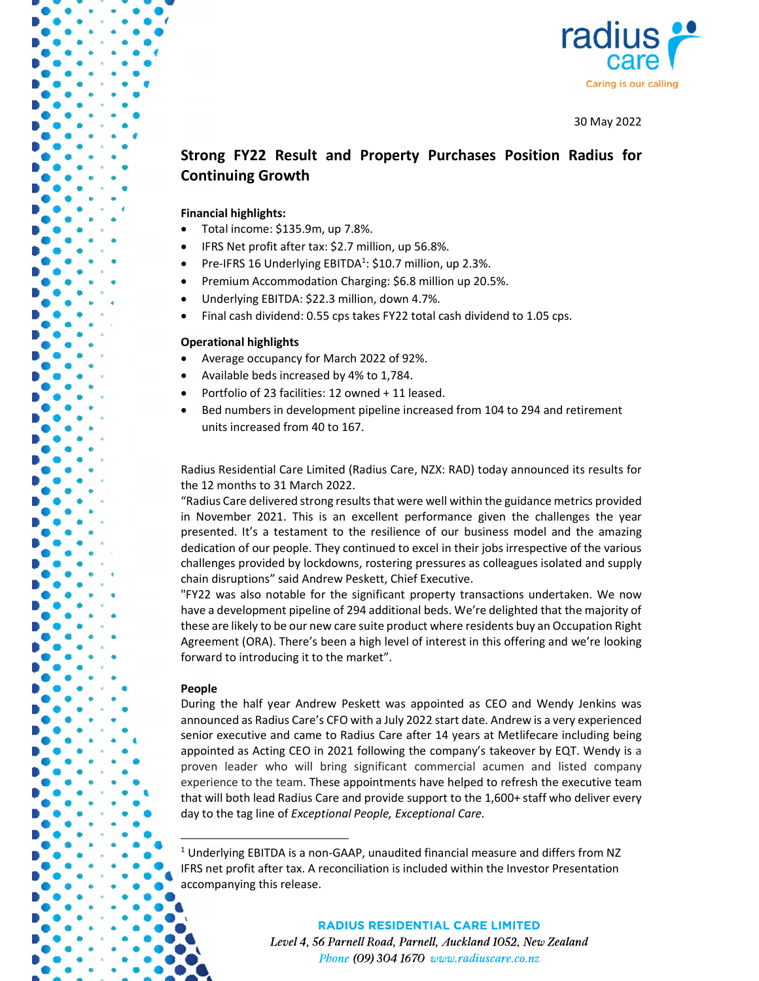

30 May 2022

# Strong FY22 Result and Property Purchases Position Radius for Continuing Growth

## Financial highlights:

- Total income: \$135.9m, up 7.8%.
- IFRS Net profit after tax: \$2.7 million, up 56.8%.
- Pre-IFRS 16 Underlying EBITDA<sup>1</sup>: \$10.7 million, up 2.3%.
- Premium Accommodation Charging: \$6.8 million up 20.5%.
- Underlying EBITDA: \$22.3 million, down 4.7%.
- Final cash dividend: 0.55 cps takes FY22 total cash dividend to 1.05 cps.

## Operational highlights

- Average occupancy for March 2022 of 92%.
- Available beds increased by 4% to 1,784.
- Portfolio of 23 facilities: 12 owned + 11 leased.
- Bed numbers in development pipeline increased from 104 to 294 and retirement units increased from 40 to 167.

Radius Residential Care Limited (Radius Care, NZX: RAD) today announced its results for the 12 months to 31 March 2022.

"Radius Care delivered strong results that were well within the guidance metrics provided in November 2021. This is an excellent performance given the challenges the year presented. It's a testament to the resilience of our business model and the amazing dedication of our people. They continued to excel in their jobs irrespective of the various challenges provided by lockdowns, rostering pressures as colleagues isolated and supply chain disruptions" said Andrew Peskett, Chief Executive.

"FY22 was also notable for the significant property transactions undertaken. We now have a development pipeline of 294 additional beds. We're delighted that the majority of these are likely to be our new care suite product where residents buy an Occupation Right Agreement (ORA). There's been a high level of interest in this offering and we're looking forward to introducing it to the market".

## People

During the half year Andrew Peskett was appointed as CEO and Wendy Jenkins was announced as Radius Care's CFO with a July 2022 start date. Andrew is a very experienced senior executive and came to Radius Care after 14 years at Metlifecare including being appointed as Acting CEO in 2021 following the company's takeover by EQT. Wendy is a proven leader who will bring significant commercial acumen and listed company experience to the team. These appointments have helped to refresh the executive team that will both lead Radius Care and provide support to the 1,600+ staff who deliver every day to the tag line of Exceptional People, Exceptional Care.

## **RADIUS RESIDENTIAL CARE LIMITED**

Level 4, 56 Parnell Road, Parnell, Auckland 1052, New Zealand Phone (09) 304 1670 www.radiuscare.co.nz

 <sup>1</sup> Underlying EBITDA is a non-GAAP, unaudited financial measure and differs from NZ IFRS net profit after tax. A reconciliation is included within the Investor Presentation accompanying this release.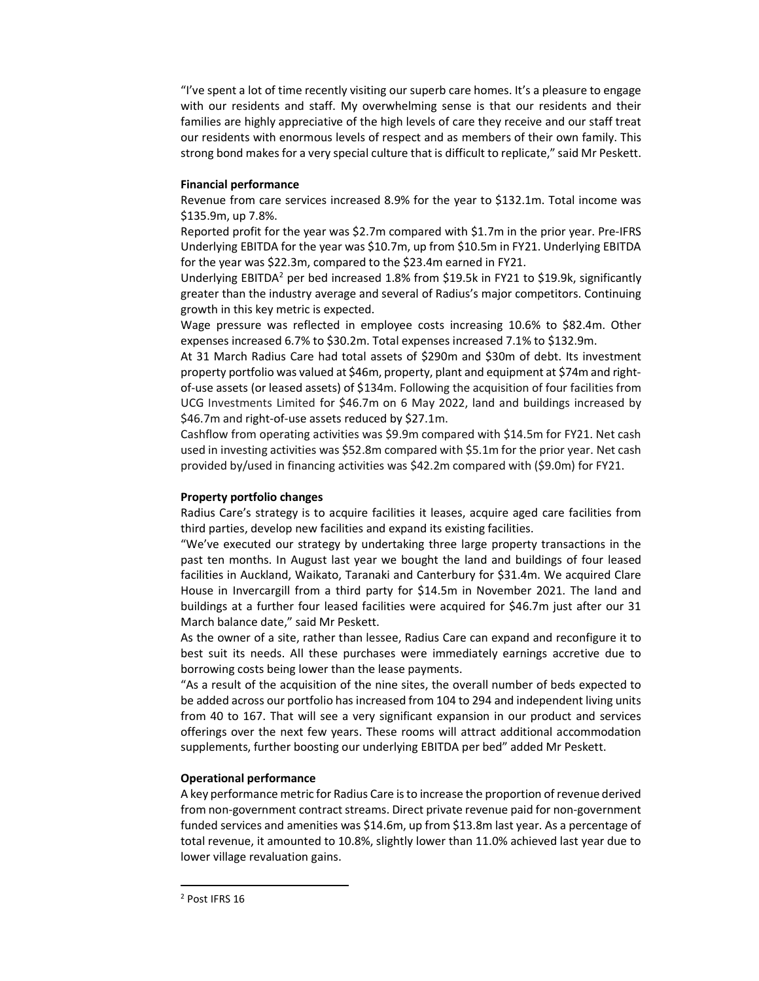"I've spent a lot of time recently visiting our superb care homes. It's a pleasure to engage with our residents and staff. My overwhelming sense is that our residents and their families are highly appreciative of the high levels of care they receive and our staff treat our residents with enormous levels of respect and as members of their own family. This strong bond makes for a very special culture that is difficult to replicate," said Mr Peskett.

## Financial performance

Revenue from care services increased 8.9% for the year to \$132.1m. Total income was \$135.9m, up 7.8%.

Reported profit for the year was \$2.7m compared with \$1.7m in the prior year. Pre-IFRS Underlying EBITDA for the year was \$10.7m, up from \$10.5m in FY21. Underlying EBITDA for the year was \$22.3m, compared to the \$23.4m earned in FY21.

Underlying EBITDA<sup>2</sup> per bed increased 1.8% from \$19.5k in FY21 to \$19.9k, significantly greater than the industry average and several of Radius's major competitors. Continuing growth in this key metric is expected.

Wage pressure was reflected in employee costs increasing 10.6% to \$82.4m. Other expenses increased 6.7% to \$30.2m. Total expenses increased 7.1% to \$132.9m.

At 31 March Radius Care had total assets of \$290m and \$30m of debt. Its investment property portfolio was valued at \$46m, property, plant and equipment at \$74m and rightof-use assets (or leased assets) of \$134m. Following the acquisition of four facilities from UCG Investments Limited for \$46.7m on 6 May 2022, land and buildings increased by \$46.7m and right-of-use assets reduced by \$27.1m.

Cashflow from operating activities was \$9.9m compared with \$14.5m for FY21. Net cash used in investing activities was \$52.8m compared with \$5.1m for the prior year. Net cash provided by/used in financing activities was \$42.2m compared with (\$9.0m) for FY21.

## Property portfolio changes

Radius Care's strategy is to acquire facilities it leases, acquire aged care facilities from third parties, develop new facilities and expand its existing facilities.

"We've executed our strategy by undertaking three large property transactions in the past ten months. In August last year we bought the land and buildings of four leased facilities in Auckland, Waikato, Taranaki and Canterbury for \$31.4m. We acquired Clare House in Invercargill from a third party for \$14.5m in November 2021. The land and buildings at a further four leased facilities were acquired for \$46.7m just after our 31 March balance date," said Mr Peskett.

As the owner of a site, rather than lessee, Radius Care can expand and reconfigure it to best suit its needs. All these purchases were immediately earnings accretive due to borrowing costs being lower than the lease payments.

"As a result of the acquisition of the nine sites, the overall number of beds expected to be added across our portfolio has increased from 104 to 294 and independent living units from 40 to 167. That will see a very significant expansion in our product and services offerings over the next few years. These rooms will attract additional accommodation supplements, further boosting our underlying EBITDA per bed" added Mr Peskett.

## Operational performance

A key performance metric for Radius Care is to increase the proportion of revenue derived from non-government contract streams. Direct private revenue paid for non-government funded services and amenities was \$14.6m, up from \$13.8m last year. As a percentage of total revenue, it amounted to 10.8%, slightly lower than 11.0% achieved last year due to lower village revaluation gains.

-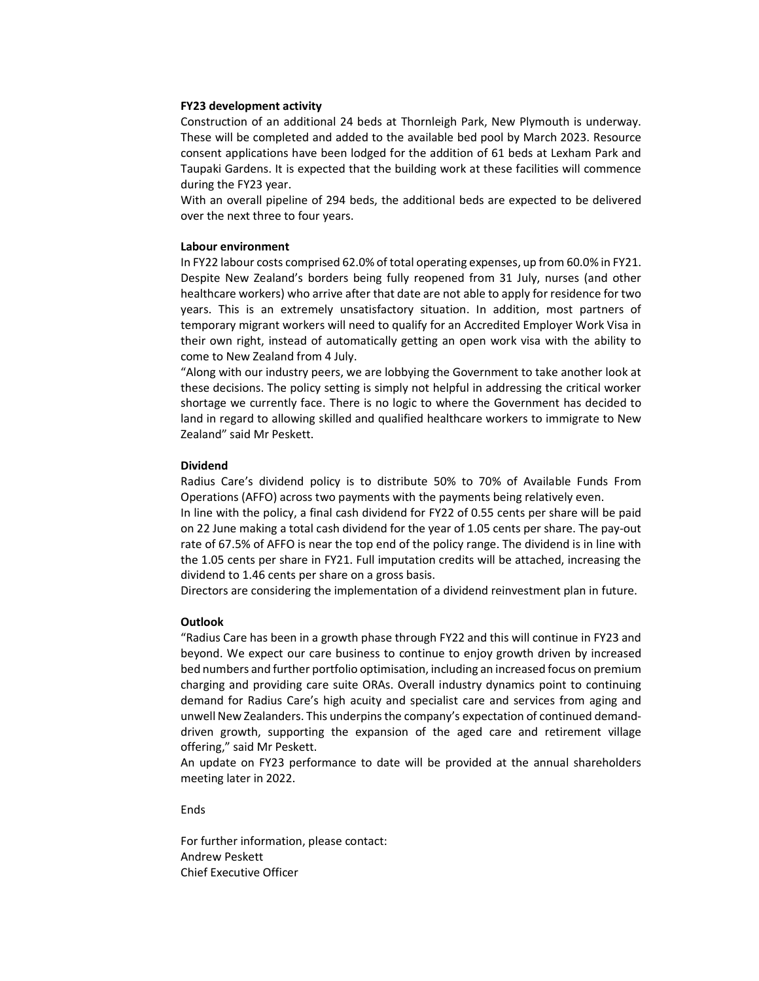## FY23 development activity

Construction of an additional 24 beds at Thornleigh Park, New Plymouth is underway. These will be completed and added to the available bed pool by March 2023. Resource consent applications have been lodged for the addition of 61 beds at Lexham Park and Taupaki Gardens. It is expected that the building work at these facilities will commence during the FY23 year.

With an overall pipeline of 294 beds, the additional beds are expected to be delivered over the next three to four years.

## Labour environment

In FY22 labour costs comprised 62.0% of total operating expenses, up from 60.0% in FY21. Despite New Zealand's borders being fully reopened from 31 July, nurses (and other healthcare workers) who arrive after that date are not able to apply for residence for two years. This is an extremely unsatisfactory situation. In addition, most partners of temporary migrant workers will need to qualify for an Accredited Employer Work Visa in their own right, instead of automatically getting an open work visa with the ability to come to New Zealand from 4 July.

"Along with our industry peers, we are lobbying the Government to take another look at these decisions. The policy setting is simply not helpful in addressing the critical worker shortage we currently face. There is no logic to where the Government has decided to land in regard to allowing skilled and qualified healthcare workers to immigrate to New Zealand" said Mr Peskett.

## Dividend

Radius Care's dividend policy is to distribute 50% to 70% of Available Funds From Operations (AFFO) across two payments with the payments being relatively even.

In line with the policy, a final cash dividend for FY22 of 0.55 cents per share will be paid on 22 June making a total cash dividend for the year of 1.05 cents per share. The pay-out rate of 67.5% of AFFO is near the top end of the policy range. The dividend is in line with the 1.05 cents per share in FY21. Full imputation credits will be attached, increasing the dividend to 1.46 cents per share on a gross basis.

Directors are considering the implementation of a dividend reinvestment plan in future.

#### **Outlook**

"Radius Care has been in a growth phase through FY22 and this will continue in FY23 and beyond. We expect our care business to continue to enjoy growth driven by increased bed numbers and further portfolio optimisation, including an increased focus on premium charging and providing care suite ORAs. Overall industry dynamics point to continuing demand for Radius Care's high acuity and specialist care and services from aging and unwell New Zealanders. This underpins the company's expectation of continued demanddriven growth, supporting the expansion of the aged care and retirement village offering," said Mr Peskett.

An update on FY23 performance to date will be provided at the annual shareholders meeting later in 2022.

Ends

For further information, please contact: Andrew Peskett Chief Executive Officer